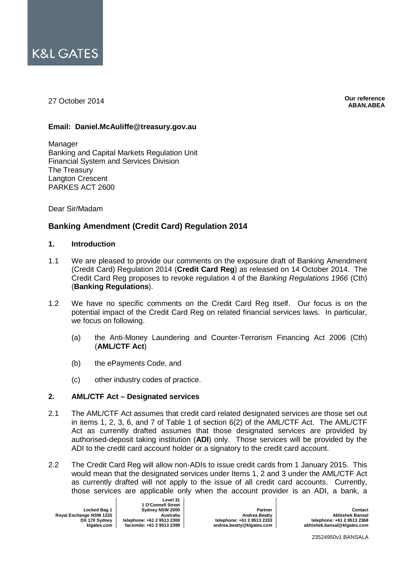

27 October 2014

**Our reference ABAN.ABEA**

## **Email: Daniel.McAuliffe@treasury.gov.au**

Manager Banking and Capital Markets Regulation Unit Financial System and Services Division The Treasury Langton Crescent PARKES ACT 2600

Dear Sir/Madam

# **Banking Amendment (Credit Card) Regulation 2014**

#### **1. Introduction**

- 1.1 We are pleased to provide our comments on the exposure draft of Banking Amendment (Credit Card) Regulation 2014 (**Credit Card Reg**) as released on 14 October 2014. The Credit Card Reg proposes to revoke regulation 4 of the *Banking Regulations 1966* (Cth) (**Banking Regulations**).
- 1.2 We have no specific comments on the Credit Card Reg itself. Our focus is on the potential impact of the Credit Card Reg on related financial services laws. In particular, we focus on following.
	- (a) the Anti-Money Laundering and Counter-Terrorism Financing Act 2006 (Cth) (**AML/CTF Act**)
	- (b) the ePayments Code, and
	- (c) other industry codes of practice.

# **2. AML/CTF Act – Designated services**

- 2.1 The AML/CTF Act assumes that credit card related designated services are those set out in items 1, 2, 3, 6, and 7 of Table 1 of section 6(2) of the AML/CTF Act. The AML/CTF Act as currently drafted assumes that those designated services are provided by authorised-deposit taking institution (**ADI**) only. Those services will be provided by the ADI to the credit card account holder or a signatory to the credit card account.
- 2.2 The Credit Card Reg will allow non-ADIs to issue credit cards from 1 January 2015. This would mean that the designated services under Items 1, 2 and 3 under the AML/CTF Act as currently drafted will not apply to the issue of all credit card accounts. Currently, those services are applicable only when the account provider is an ADI, a bank, a

| Locked Bag 1            |        |
|-------------------------|--------|
| Royal Exchange NSW 1225 |        |
| DX 170 Sydney           | teleph |
| klgates.com             | facsir |

 $\blacksquare$ 

**Level 31 1 O'Connell Street Sydney NSW 2000 Australia telephone: +61 2 9513 2300 facsimile: +61 2 9513 2399**

**Partner Andrea Beatty telephone: +61 2 9513 2333 andrea.beatty@klgates.com**

**Contact Abhishek Bansal telephone: +61 2 9513 2368 abhishek.bansal@klgates.com**